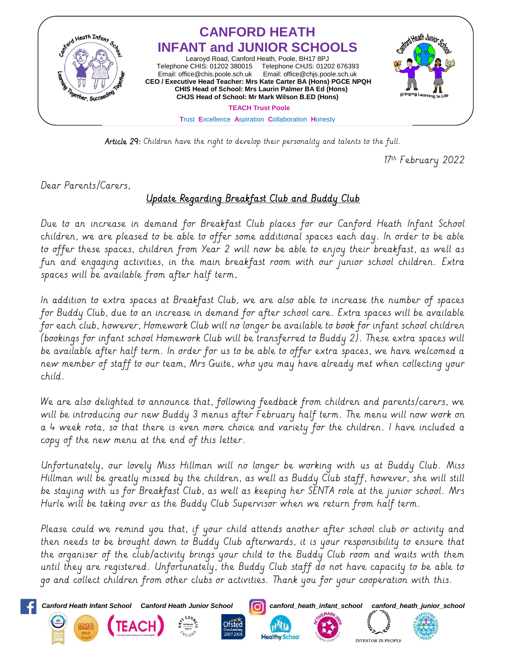

Article 29: Children have the right to develop their personality and talents to the full.

17<sup>th</sup> February 2022

Dear Parents/Carers,

## Update Regarding Breakfast Club and Buddy Club

Due to an increase in demand for Breakfast Club places for our Canford Heath Infant School children, we are pleased to be able to offer some additional spaces each day. In order to be able to offer these spaces, children from Year 2 will now be able to enjoy their breakfast, as well as fun and engaging activities, in the main breakfast room with our junior school children. Extra spaces will be available from after half term.

In addition to extra spaces at Breakfast Club, we are also able to increase the number of spaces for Buddy Club, due to an increase in demand for after school care. Extra spaces will be available for each club, however, Homework Club will no longer be available to book for infant school children (bookings for infant school Homework Club will be transferred to Buddy 2). These extra spaces will be available after half term. In order for us to be able to offer extra spaces, we have welcomed a new member of staff to our team, Mrs Guite, who you may have already met when collecting your child.

We are also delighted to announce that, following feedback from children and parents/carers, we will be introducing our new Buddy 3 menus after February half term. The menu will now work on a 4 week rota, so that there is even more choice and variety for the children. I have included a copy of the new menu at the end of this letter.

Unfortunately, our lovely Miss Hillman will no longer be working with us at Buddy Club. Miss Hillman will be greatly missed by the children, as well as Buddy Club staff, however, she will still be staying with us for Breakfast Club, as well as keeping her SENTA role at the junior school. Mrs Hurle will be taking over as the Buddy Club Supervisor when we return from half term.

Please could we remind you that, if your child attends another after school club or activity and then needs to be brought down to Buddy Club afterwards, it is your responsibility to ensure that the organiser of the club/activity brings your child to the Buddy Club room and waits with them until they are registered. Unfortunately, the Buddy Club staff do not have capacity to be able to go and collect children from other clubs or activities. Thank you for your cooperation with this.